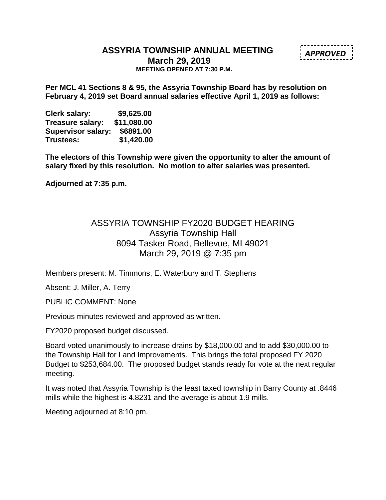#### **ASSYRIA TOWNSHIP ANNUAL MEETING March 29, 2019 MEETING OPENED AT 7:30 P.M.**

**Per MCL 41 Sections 8 & 95, the Assyria Township Board has by resolution on February 4, 2019 set Board annual salaries effective April 1, 2019 as follows:**

**Clerk salary: \$9,625.00 Treasure salary: \$11,080.00 Supervisor salary: \$6891.00 Trustees: \$1,420.00**

**The electors of this Township were given the opportunity to alter the amount of salary fixed by this resolution. No motion to alter salaries was presented.** 

**Adjourned at 7:35 p.m.**

## ASSYRIA TOWNSHIP FY2020 BUDGET HEARING Assyria Township Hall 8094 Tasker Road, Bellevue, MI 49021 March 29, 2019 @ 7:35 pm

Members present: M. Timmons, E. Waterbury and T. Stephens

Absent: J. Miller, A. Terry

PUBLIC COMMENT: None

Previous minutes reviewed and approved as written.

FY2020 proposed budget discussed.

Board voted unanimously to increase drains by \$18,000.00 and to add \$30,000.00 to the Township Hall for Land Improvements. This brings the total proposed FY 2020 Budget to \$253,684.00. The proposed budget stands ready for vote at the next regular meeting.

It was noted that Assyria Township is the least taxed township in Barry County at .8446 mills while the highest is 4.8231 and the average is about 1.9 mills.

Meeting adjourned at 8:10 pm.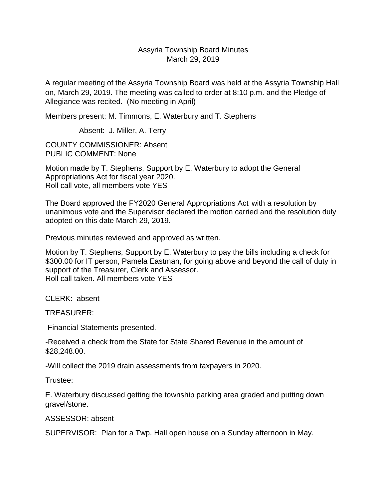#### Assyria Township Board Minutes March 29, 2019

A regular meeting of the Assyria Township Board was held at the Assyria Township Hall on, March 29, 2019. The meeting was called to order at 8:10 p.m. and the Pledge of Allegiance was recited. (No meeting in April)

Members present: M. Timmons, E. Waterbury and T. Stephens

Absent: J. Miller, A. Terry

COUNTY COMMISSIONER: Absent PUBLIC COMMENT: None

Motion made by T. Stephens, Support by E. Waterbury to adopt the General Appropriations Act for fiscal year 2020. Roll call vote, all members vote YES

The Board approved the FY2020 General Appropriations Act with a resolution by unanimous vote and the Supervisor declared the motion carried and the resolution duly adopted on this date March 29, 2019.

Previous minutes reviewed and approved as written.

Motion by T. Stephens, Support by E. Waterbury to pay the bills including a check for \$300.00 for IT person, Pamela Eastman, for going above and beyond the call of duty in support of the Treasurer, Clerk and Assessor. Roll call taken. All members vote YES

CLERK: absent

TREASURER:

-Financial Statements presented.

-Received a check from the State for State Shared Revenue in the amount of \$28,248.00.

-Will collect the 2019 drain assessments from taxpayers in 2020.

Trustee:

E. Waterbury discussed getting the township parking area graded and putting down gravel/stone.

ASSESSOR: absent

SUPERVISOR: Plan for a Twp. Hall open house on a Sunday afternoon in May.